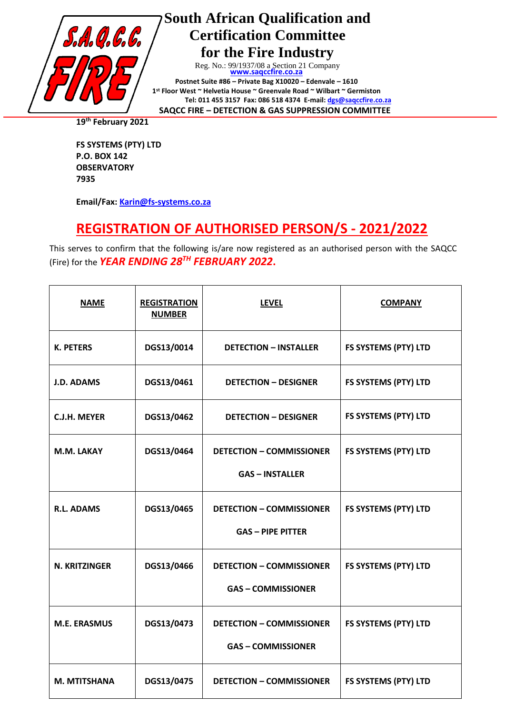

## **South African Qualification and Certification Committee for the Fire Industry**

Reg. No.: 99/1937/08 a Section 21 Company **[www.saqccfire.co.za](http://www.saqccfire.co.za/) Postnet Suite #86 – Private Bag X10020 – Edenvale – 1610 1 st Floor West ~ Helvetia House ~ Greenvale Road ~ Wilbart ~ Germiston Tel: 011 455 3157 Fax: 086 518 4374 E-mail[: dgs@saqccfire.co.za](mailto:dgs@saqccfire.co.za) SAQCC FIRE – DETECTION & GAS SUPPRESSION COMMITTEE**

**19 th February 2021**

**FS SYSTEMS (PTY) LTD P.O. BOX 142 OBSERVATORY 7935**

**Email/Fax: [Karin@fs-systems.co.za](mailto:Karin@fs-systems.co.za)**

## **REGISTRATION OF AUTHORISED PERSON/S - 2021/2022**

This serves to confirm that the following is/are now registered as an authorised person with the SAQCC (Fire) for the *YEAR ENDING 28 TH FEBRUARY 2022***.**

| <b>NAME</b>         | <b>REGISTRATION</b><br><b>NUMBER</b> | <b>LEVEL</b>                                                | <b>COMPANY</b>              |
|---------------------|--------------------------------------|-------------------------------------------------------------|-----------------------------|
| <b>K. PETERS</b>    | DGS13/0014                           | <b>DETECTION - INSTALLER</b>                                | <b>FS SYSTEMS (PTY) LTD</b> |
| <b>J.D. ADAMS</b>   | DGS13/0461                           | <b>DETECTION - DESIGNER</b>                                 | <b>FS SYSTEMS (PTY) LTD</b> |
| C.J.H. MEYER        | DGS13/0462                           | <b>DETECTION - DESIGNER</b>                                 | <b>FS SYSTEMS (PTY) LTD</b> |
| M.M. LAKAY          | DGS13/0464                           | <b>DETECTION - COMMISSIONER</b><br><b>GAS - INSTALLER</b>   | FS SYSTEMS (PTY) LTD        |
| <b>R.L. ADAMS</b>   | DGS13/0465                           | <b>DETECTION - COMMISSIONER</b><br><b>GAS - PIPE PITTER</b> | <b>FS SYSTEMS (PTY) LTD</b> |
| N. KRITZINGER       | DGS13/0466                           | <b>DETECTION - COMMISSIONER</b><br><b>GAS-COMMISSIONER</b>  | <b>FS SYSTEMS (PTY) LTD</b> |
| <b>M.E. ERASMUS</b> | DGS13/0473                           | <b>DETECTION - COMMISSIONER</b><br><b>GAS-COMMISSIONER</b>  | FS SYSTEMS (PTY) LTD        |
| M. MTITSHANA        | DGS13/0475                           | <b>DETECTION - COMMISSIONER</b>                             | <b>FS SYSTEMS (PTY) LTD</b> |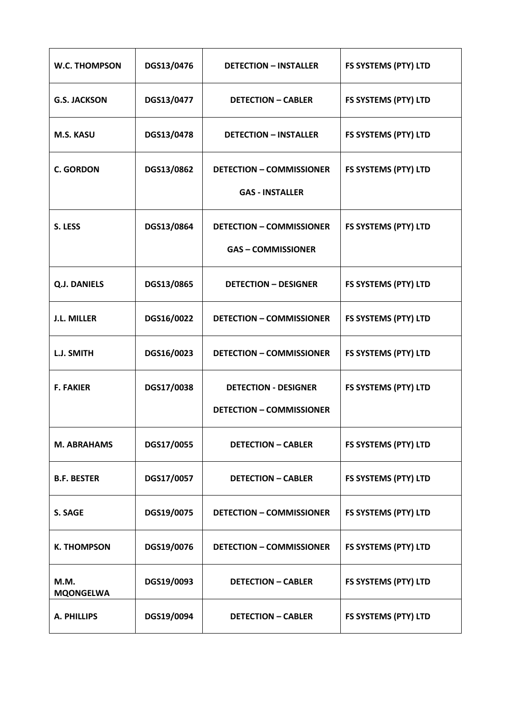| W.C. THOMPSON            | DGS13/0476 | <b>DETECTION - INSTALLER</b>                                   | <b>FS SYSTEMS (PTY) LTD</b> |
|--------------------------|------------|----------------------------------------------------------------|-----------------------------|
| <b>G.S. JACKSON</b>      | DGS13/0477 | <b>DETECTION - CABLER</b>                                      | <b>FS SYSTEMS (PTY) LTD</b> |
| <b>M.S. KASU</b>         | DGS13/0478 | <b>DETECTION - INSTALLER</b>                                   | <b>FS SYSTEMS (PTY) LTD</b> |
| <b>C. GORDON</b>         | DGS13/0862 | <b>DETECTION - COMMISSIONER</b><br><b>GAS - INSTALLER</b>      | <b>FS SYSTEMS (PTY) LTD</b> |
| S. LESS                  | DGS13/0864 | <b>DETECTION - COMMISSIONER</b><br><b>GAS - COMMISSIONER</b>   | <b>FS SYSTEMS (PTY) LTD</b> |
| <b>Q.J. DANIELS</b>      | DGS13/0865 | <b>DETECTION - DESIGNER</b>                                    | <b>FS SYSTEMS (PTY) LTD</b> |
| <b>J.L. MILLER</b>       | DGS16/0022 | <b>DETECTION - COMMISSIONER</b>                                | <b>FS SYSTEMS (PTY) LTD</b> |
| L.J. SMITH               | DGS16/0023 | <b>DETECTION - COMMISSIONER</b>                                | <b>FS SYSTEMS (PTY) LTD</b> |
| <b>F. FAKIER</b>         | DGS17/0038 | <b>DETECTION - DESIGNER</b><br><b>DETECTION - COMMISSIONER</b> | <b>FS SYSTEMS (PTY) LTD</b> |
| <b>M. ABRAHAMS</b>       | DGS17/0055 | <b>DETECTION - CABLER</b>                                      | <b>FS SYSTEMS (PTY) LTD</b> |
| <b>B.F. BESTER</b>       | DGS17/0057 | <b>DETECTION - CABLER</b>                                      | <b>FS SYSTEMS (PTY) LTD</b> |
| <b>S. SAGE</b>           | DGS19/0075 | <b>DETECTION - COMMISSIONER</b>                                | <b>FS SYSTEMS (PTY) LTD</b> |
| <b>K. THOMPSON</b>       | DGS19/0076 | <b>DETECTION - COMMISSIONER</b>                                | <b>FS SYSTEMS (PTY) LTD</b> |
| M.M.<br><b>MQONGELWA</b> | DGS19/0093 | <b>DETECTION - CABLER</b>                                      | <b>FS SYSTEMS (PTY) LTD</b> |
| A. PHILLIPS              | DGS19/0094 | <b>DETECTION - CABLER</b>                                      | FS SYSTEMS (PTY) LTD        |